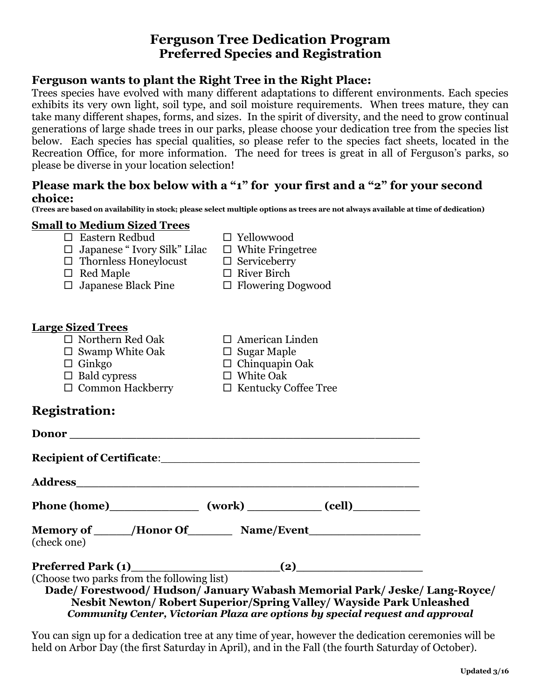# **Ferguson Tree Dedication Program Preferred Species and Registration**

### **Ferguson wants to plant the Right Tree in the Right Place:**

Trees species have evolved with many different adaptations to different environments. Each species exhibits its very own light, soil type, and soil moisture requirements. When trees mature, they can take many different shapes, forms, and sizes. In the spirit of diversity, and the need to grow continual generations of large shade trees in our parks, please choose your dedication tree from the species list below. Each species has special qualities, so please refer to the species fact sheets, located in the Recreation Office, for more information. The need for trees is great in all of Ferguson's parks, so please be diverse in your location selection!

### **Please mark the box below with a "1" for your first and a "2" for your second choice:**

**(Trees are based on availability in stock; please select multiple options as trees are not always available at time of dedication)**

### **Small to Medium Sized Trees**

- $\Box$  Japanese " Ivory Silk" Lilac  $\Box$  White Fringetree
- $\Box$  Thornless Honeylocust  $\Box$  Serviceberry
- $\Box$  Red Maple  $\Box$  River Birch
- $\Box$  Japanese Black Pine  $\Box$  Flowering Dogwood
- 
- 

### **Large Sized Trees**

- $\Box$  Northern Red Oak  $\Box$  American Linden
- $\Box$  Swamp White Oak  $\Box$  Sugar Maple
- $\Box$  Ginkgo  $\Box$  Chinquapin Oak
- 
- 
- $\Box$  Bald cypress  $\Box$  White Oak
- $\Box$  Common Hackberry  $\Box$  Kentucky Coffee Tree
- 

## **Registration:**

| Phone (home)__________________ (work) ____________ (cell)_____________                          |  |                                                                             |  |
|-------------------------------------------------------------------------------------------------|--|-----------------------------------------------------------------------------|--|
| Memory of ______/Honor Of__________ Name/Event__________________________________<br>(check one) |  |                                                                             |  |
|                                                                                                 |  |                                                                             |  |
| (Choose two parks from the following list)                                                      |  |                                                                             |  |
|                                                                                                 |  | Dade/Forestwood/Hudson/January Wabash Memorial Park/Jeske/Lang-Royce/       |  |
|                                                                                                 |  | <b>Nesbit Newton/ Robert Superior/Spring Valley/ Wayside Park Unleashed</b> |  |

*Community Center, Victorian Plaza are options by special request and approval*

You can sign up for a dedication tree at any time of year, however the dedication ceremonies will be held on Arbor Day (the first Saturday in April), and in the Fall (the fourth Saturday of October).